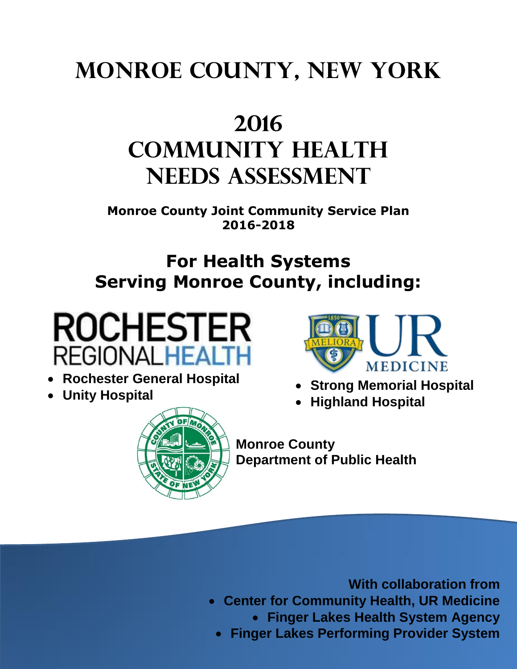# **Monroe County, New York**

# **2016 Community Health Needs Assessment**

**Monroe County Joint Community Service Plan 2016-2018**

# **For Health Systems Serving Monroe County, including:**



# **Rochester General Hospital**

**Unity Hospital**



- **Strong Memorial Hospital**
- **Highland Hospital**



**Monroe County Department of Public Health**

**With collaboration from** 

- **Center for Community Health, UR Medicine**
	- **Finger Lakes Health System Agency**
	- **Finger Lakes Performing Provider System**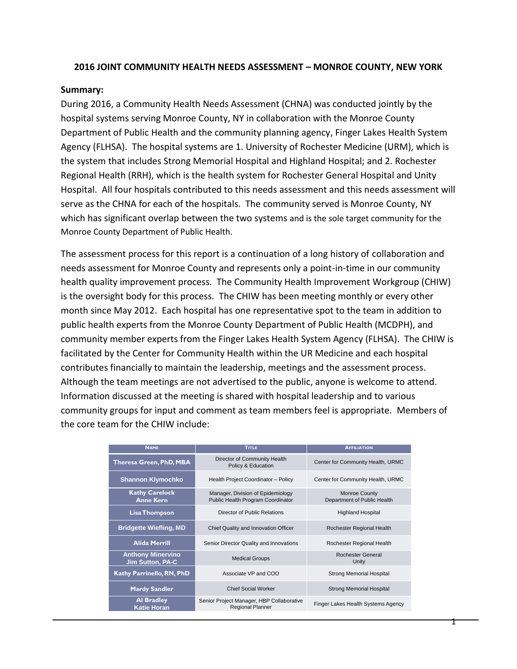# **2016 JOINT COMMUNITY HEALTH NEEDS ASSESSMENT – MONROE COUNTY, NEW YORK**

#### **Summary:**

During 2016, a Community Health Needs Assessment (CHNA) was conducted jointly by the hospital systems serving Monroe County, NY in collaboration with the Monroe County Department of Public Health and the community planning agency, Finger Lakes Health System Agency (FLHSA). The hospital systems are 1. University of Rochester Medicine (URM), which is the system that includes Strong Memorial Hospital and Highland Hospital; and 2. Rochester Regional Health (RRH), which is the health system for Rochester General Hospital and Unity Hospital. All four hospitals contributed to this needs assessment and this needs assessment will serve as the CHNA for each of the hospitals. The community served is Monroe County, NY which has significant overlap between the two systems and is the sole target community for the Monroe County Department of Public Health.

The assessment process for this report is a continuation of a long history of collaboration and needs assessment for Monroe County and represents only a point-in-time in our community health quality improvement process. The Community Health Improvement Workgroup (CHIW) is the oversight body for this process. The CHIW has been meeting monthly or every other month since May 2012. Each hospital has one representative spot to the team in addition to public health experts from the Monroe County Department of Public Health (MCDPH), and community member experts from the Finger Lakes Health System Agency (FLHSA). The CHIW is facilitated by the Center for Community Health within the UR Medicine and each hospital contributes financially to maintain the leadership, meetings and the assessment process. Although the team meetings are not advertised to the public, anyone is welcome to attend. Information discussed at the meeting is shared with hospital leadership and to various community groups for input and comment as team members feel is appropriate. Members of the core team for the CHIW include:

| <b>NAME</b>                                         | <b>TITLE</b>                                                           | <b>AFFILIATION</b>                                  |
|-----------------------------------------------------|------------------------------------------------------------------------|-----------------------------------------------------|
| <b>Theresa Green, PhD, MBA</b>                      | Director of Community Health<br>Policy & Education                     | Center for Community Health, URMC                   |
| <b>Shannon Klymochko</b>                            | Health Project Coordinator - Policy                                    | Center for Community Health, URMC                   |
| <b>Kathy Carelock</b><br><b>Anne Kern</b>           | Manager, Division of Epidemiology<br>Public Health Program Coordinator | <b>Monroe County</b><br>Department of Public Health |
| <b>Lisa Thompson</b>                                | Director of Public Relations                                           | <b>Highland Hospital</b>                            |
| <b>Bridgette Wiefling, MD</b>                       | Chief Quality and Innovation Officer                                   | Rochester Regional Health                           |
| <b>Alida Merrill</b>                                | Senior Director Quality and Innovations                                | Rochester Regional Health                           |
| <b>Anthony Minervino</b><br><b>Jim Sutton, PA-C</b> | <b>Medical Groups</b>                                                  | <b>Rochester General</b><br>Unity                   |
| Kathy Parrinello, RN, PhD                           | Associate VP and COO                                                   | <b>Strong Memorial Hospital</b>                     |
| <b>Mardy Sandler</b>                                | <b>Chief Social Worker</b>                                             | <b>Strong Memorial Hospital</b>                     |
| <b>Al Bradley</b><br><b>Katie Horan</b>             | Senior Project Manager, HBP Collaborative<br><b>Regional Planner</b>   | Finger Lakes Health Systems Agency                  |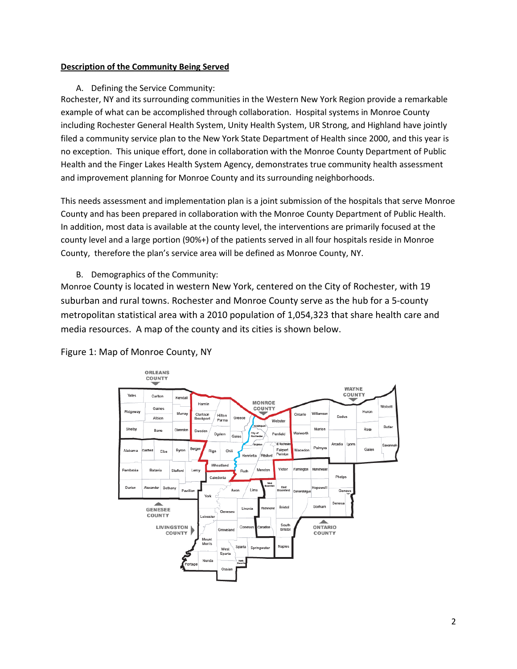#### **Description of the Community Being Served**

#### A. Defining the Service Community:

Rochester, NY and its surrounding communities in the Western New York Region provide a remarkable example of what can be accomplished through collaboration. Hospital systems in Monroe County including Rochester General Health System, Unity Health System, UR Strong, and Highland have jointly filed a community service plan to the New York State Department of Health since 2000, and this year is no exception. This unique effort, done in collaboration with the Monroe County Department of Public Health and the Finger Lakes Health System Agency, demonstrates true community health assessment and improvement planning for Monroe County and its surrounding neighborhoods.

This needs assessment and implementation plan is a joint submission of the hospitals that serve Monroe County and has been prepared in collaboration with the Monroe County Department of Public Health. In addition, most data is available at the county level, the interventions are primarily focused at the county level and a large portion (90%+) of the patients served in all four hospitals reside in Monroe County, therefore the plan's service area will be defined as Monroe County, NY.

#### B. Demographics of the Community:

Monroe County is located in western New York, centered on the City of Rochester, with 19 suburban and rural towns. Rochester and Monroe County serve as the hub for a 5-county metropolitan statistical area with a 2010 population of 1,054,323 that share health care and media resources. A map of the county and its cities is shown below.



#### Figure 1: Map of Monroe County, NY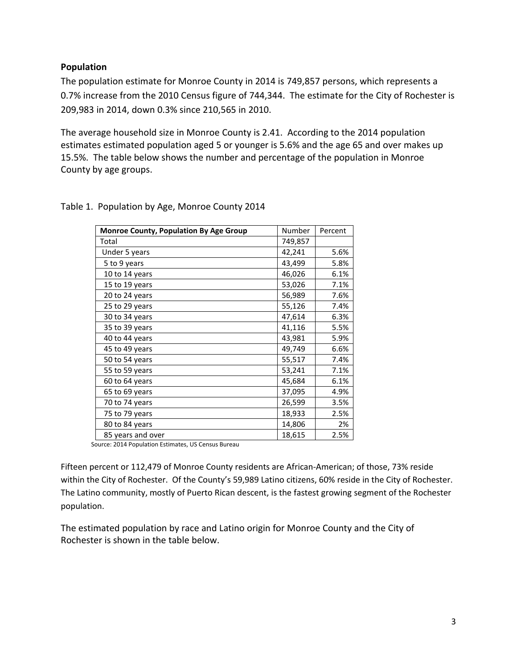# **Population**

The population estimate for Monroe County in 2014 is 749,857 persons, which represents a 0.7% increase from the 2010 Census figure of 744,344. The estimate for the City of Rochester is 209,983 in 2014, down 0.3% since 210,565 in 2010.

The average household size in Monroe County is 2.41. According to the 2014 population estimates estimated population aged 5 or younger is 5.6% and the age 65 and over makes up 15.5%. The table below shows the number and percentage of the population in Monroe County by age groups.

| Monroe County, Population By Age Group | Number  | Percent |
|----------------------------------------|---------|---------|
| Total                                  | 749,857 |         |
| Under 5 years                          | 42,241  | 5.6%    |
| 5 to 9 years                           | 43,499  | 5.8%    |
| 10 to 14 years                         | 46,026  | 6.1%    |
| 15 to 19 years                         | 53,026  | 7.1%    |
| 20 to 24 years                         | 56,989  | 7.6%    |
| 25 to 29 years                         | 55,126  | 7.4%    |
| 30 to 34 years                         | 47,614  | 6.3%    |
| 35 to 39 years                         | 41,116  | 5.5%    |
| 40 to 44 years                         | 43,981  | 5.9%    |
| 45 to 49 years                         | 49,749  | 6.6%    |
| 50 to 54 years                         | 55,517  | 7.4%    |
| 55 to 59 years                         | 53,241  | 7.1%    |
| 60 to 64 years                         | 45,684  | 6.1%    |
| 65 to 69 years                         | 37,095  | 4.9%    |
| 70 to 74 years                         | 26,599  | 3.5%    |
| 75 to 79 years                         | 18,933  | 2.5%    |
| 80 to 84 years                         | 14,806  | 2%      |
| 85 years and over                      | 18,615  | 2.5%    |

Table 1. Population by Age, Monroe County 2014

Source: 2014 Population Estimates, US Census Bureau

Fifteen percent or 112,479 of Monroe County residents are African-American; of those, 73% reside within the City of Rochester. Of the County's 59,989 Latino citizens, 60% reside in the City of Rochester. The Latino community, mostly of Puerto Rican descent, is the fastest growing segment of the Rochester population.

The estimated population by race and Latino origin for Monroe County and the City of Rochester is shown in the table below.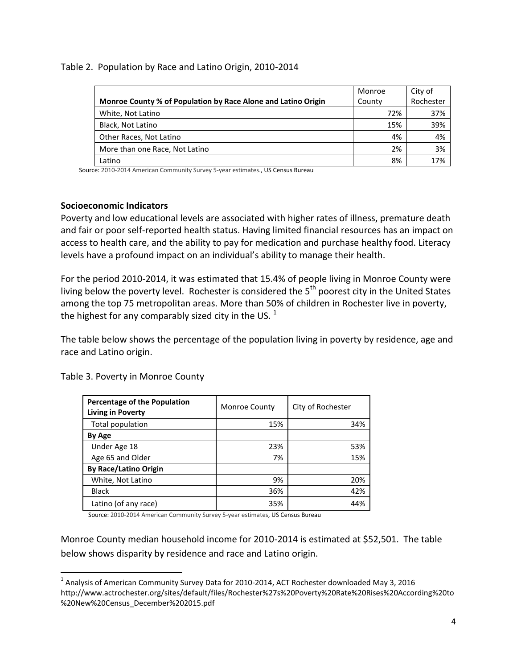| Monroe County % of Population by Race Alone and Latino Origin | Monroe<br>County | City of<br>Rochester |
|---------------------------------------------------------------|------------------|----------------------|
| White, Not Latino                                             | 72%              | 37%                  |
| Black, Not Latino                                             | 15%              | 39%                  |
| Other Races, Not Latino                                       | 4%               | 4%                   |
| More than one Race, Not Latino                                | 2%               | 3%                   |
| Latino                                                        | 8%               | 17%                  |

Source: 2010-2014 American Community Survey 5-year estimates., US Census Bureau

# **Socioeconomic Indicators**

Poverty and low educational levels are associated with higher rates of illness, premature death and fair or poor self-reported health status. Having limited financial resources has an impact on access to health care, and the ability to pay for medication and purchase healthy food. Literacy levels have a profound impact on an individual's ability to manage their health.

For the period 2010-2014, it was estimated that 15.4% of people living in Monroe County were living below the poverty level. Rochester is considered the 5<sup>th</sup> poorest city in the United States among the top 75 metropolitan areas. More than 50% of children in Rochester live in poverty, the highest for any comparably sized city in the US.  $^1$ 

The table below shows the percentage of the population living in poverty by residence, age and race and Latino origin.

| <b>Percentage of the Population</b><br><b>Living in Poverty</b> | Monroe County | City of Rochester |
|-----------------------------------------------------------------|---------------|-------------------|
| Total population                                                | 15%           | 34%               |
| By Age                                                          |               |                   |
| Under Age 18                                                    | 23%           | 53%               |
| Age 65 and Older                                                | 7%            | 15%               |
| <b>By Race/Latino Origin</b>                                    |               |                   |
| White, Not Latino                                               | 9%            | 20%               |
| <b>Black</b>                                                    | 36%           | 42%               |
| Latino (of any race)                                            | 35%           | 44%               |

Table 3. Poverty in Monroe County

 $\overline{\phantom{a}}$ 

Source: 2010-2014 American Community Survey 5-year estimates, US Census Bureau

Monroe County median household income for 2010-2014 is estimated at \$52,501. The table below shows disparity by residence and race and Latino origin.

 $^1$  Analysis of American Community Survey Data for 2010-2014, ACT Rochester downloaded May 3, 2016 http://www.actrochester.org/sites/default/files/Rochester%27s%20Poverty%20Rate%20Rises%20According%20to %20New%20Census\_December%202015.pdf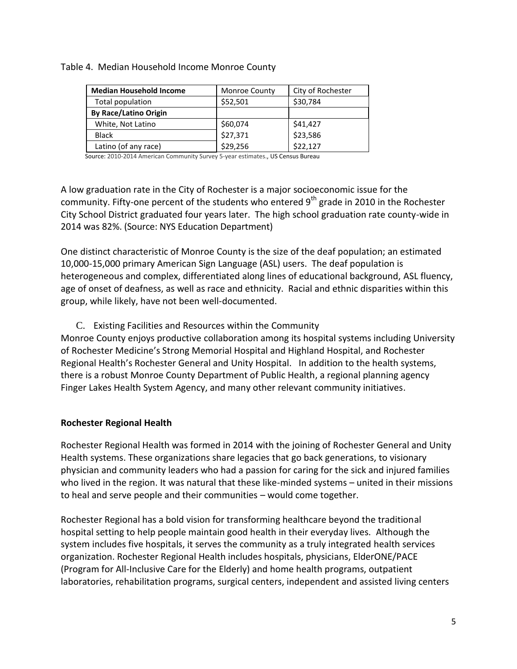| <b>Median Household Income</b> | <b>Monroe County</b> | City of Rochester |
|--------------------------------|----------------------|-------------------|
| Total population               | \$52,501             | \$30,784          |
| <b>By Race/Latino Origin</b>   |                      |                   |
| White, Not Latino              | \$60,074             | \$41,427          |
| <b>Black</b>                   | \$27,371             | \$23,586          |
| Latino (of any race)           | \$29,256             | \$22,127          |

# Table 4. Median Household Income Monroe County

Source: 2010-2014 American Community Survey 5-year estimates., US Census Bureau

A low graduation rate in the City of Rochester is a major socioeconomic issue for the community. Fifty-one percent of the students who entered  $9<sup>th</sup>$  grade in 2010 in the Rochester City School District graduated four years later. The high school graduation rate county-wide in 2014 was 82%. (Source: NYS Education Department)

One distinct characteristic of Monroe County is the size of the deaf population; an estimated 10,000-15,000 primary American Sign Language (ASL) users. The deaf population is heterogeneous and complex, differentiated along lines of educational background, ASL fluency, age of onset of deafness, as well as race and ethnicity. Racial and ethnic disparities within this group, while likely, have not been well-documented.

# C. Existing Facilities and Resources within the Community

Monroe County enjoys productive collaboration among its hospital systems including University of Rochester Medicine's Strong Memorial Hospital and Highland Hospital, and Rochester Regional Health's Rochester General and Unity Hospital. In addition to the health systems, there is a robust Monroe County Department of Public Health, a regional planning agency Finger Lakes Health System Agency, and many other relevant community initiatives.

# **Rochester Regional Health**

Rochester Regional Health was formed in 2014 with the joining of Rochester General and Unity Health systems. These organizations share legacies that go back generations, to visionary physician and community leaders who had a passion for caring for the sick and injured families who lived in the region. It was natural that these like-minded systems - united in their missions to heal and serve people and their communities – would come together.

Rochester Regional has a bold vision for transforming healthcare beyond the traditional hospital setting to help people maintain good health in their everyday lives. Although the system includes five hospitals, it serves the community as a truly integrated health services organization. Rochester Regional Health includes hospitals, physicians, ElderONE/PACE (Program for All-Inclusive Care for the Elderly) and home health programs, outpatient laboratories, rehabilitation programs, surgical centers, independent and assisted living centers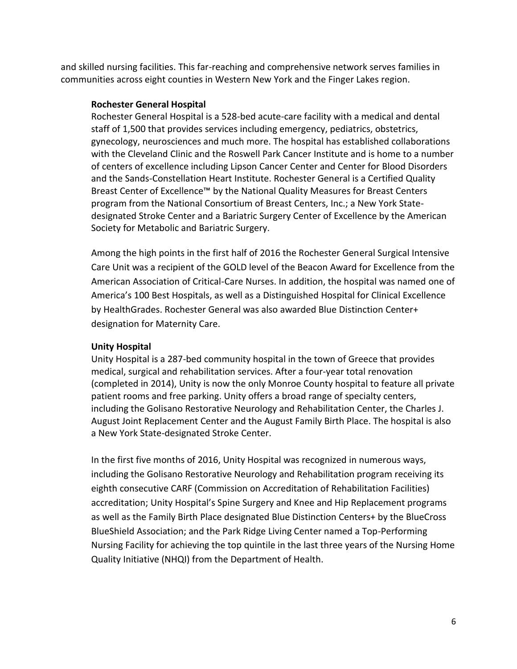and skilled nursing facilities. This far-reaching and comprehensive network serves families in communities across eight counties in Western New York and the Finger Lakes region.

# **Rochester General Hospital**

Rochester General Hospital is a 528-bed acute-care facility with a medical and dental staff of 1,500 that provides services including emergency, pediatrics, obstetrics, gynecology, neurosciences and much more. The hospital has established collaborations with the Cleveland Clinic and the Roswell Park Cancer Institute and is home to a number of centers of excellence including Lipson Cancer Center and Center for Blood Disorders and the Sands-Constellation Heart Institute. Rochester General is a Certified Quality Breast Center of Excellence™ by the National Quality Measures for Breast Centers program from the National Consortium of Breast Centers, Inc.; a New York Statedesignated Stroke Center and a Bariatric Surgery Center of Excellence by the American Society for Metabolic and Bariatric Surgery.

Among the high points in the first half of 2016 the Rochester General Surgical Intensive Care Unit was a recipient of the GOLD level of the Beacon Award for Excellence from the American Association of Critical-Care Nurses. In addition, the hospital was named one of America's 100 Best Hospitals, as well as a Distinguished Hospital for Clinical Excellence by HealthGrades. Rochester General was also awarded Blue Distinction Center+ designation for Maternity Care.

# **Unity Hospital**

Unity Hospital is a 287-bed community hospital in the town of Greece that provides medical, surgical and rehabilitation services. After a four-year total renovation (completed in 2014), Unity is now the only Monroe County hospital to feature all private patient rooms and free parking. Unity offers a broad range of specialty centers, including the Golisano Restorative Neurology and Rehabilitation Center, the Charles J. August Joint Replacement Center and the August Family Birth Place. The hospital is also a New York State-designated Stroke Center.

In the first five months of 2016, Unity Hospital was recognized in numerous ways, including the Golisano Restorative Neurology and Rehabilitation program receiving its eighth consecutive CARF (Commission on Accreditation of Rehabilitation Facilities) accreditation; Unity Hospital's Spine Surgery and Knee and Hip Replacement programs as well as the Family Birth Place designated Blue Distinction Centers+ by the BlueCross BlueShield Association; and the Park Ridge Living Center named a Top-Performing Nursing Facility for achieving the top quintile in the last three years of the Nursing Home Quality Initiative (NHQI) from the Department of Health.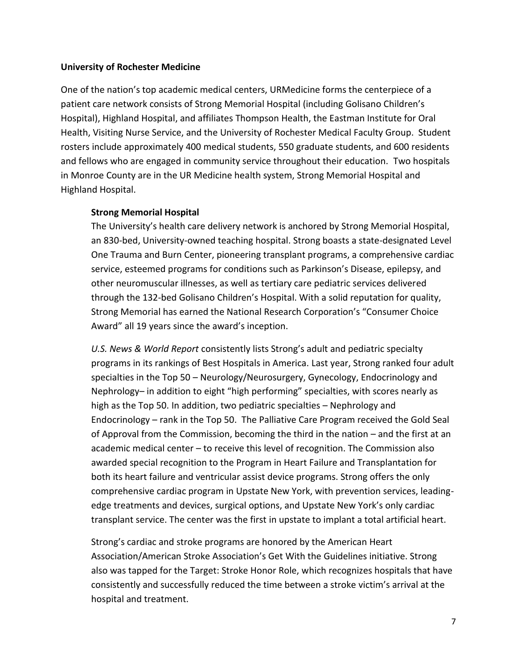#### **University of Rochester Medicine**

One of the nation's top academic medical centers, URMedicine forms the centerpiece of a patient care network consists of Strong Memorial Hospital (including Golisano Children's Hospital), Highland Hospital, and affiliates Thompson Health, the Eastman Institute for Oral Health, Visiting Nurse Service, and the University of Rochester Medical Faculty Group. Student rosters include approximately 400 medical students, 550 graduate students, and 600 residents and fellows who are engaged in community service throughout their education. Two hospitals in Monroe County are in the UR Medicine health system, Strong Memorial Hospital and Highland Hospital.

# **Strong Memorial Hospital**

The University's health care delivery network is anchored by Strong Memorial Hospital, an 830-bed, University-owned teaching hospital. Strong boasts a state-designated Level One Trauma and Burn Center, pioneering transplant programs, a comprehensive cardiac service, esteemed programs for conditions such as Parkinson's Disease, epilepsy, and other neuromuscular illnesses, as well as tertiary care pediatric services delivered through the 132-bed Golisano Children's Hospital. With a solid reputation for quality, Strong Memorial has earned the National Research Corporation's "Consumer Choice Award" all 19 years since the award's inception.

*U.S. News & World Report* consistently lists Strong's adult and pediatric specialty programs in its rankings of Best Hospitals in America. Last year, Strong ranked four adult specialties in the Top 50 – Neurology/Neurosurgery, Gynecology, Endocrinology and Nephrology– in addition to eight "high performing" specialties, with scores nearly as high as the Top 50. In addition, two pediatric specialties – Nephrology and Endocrinology – rank in the Top 50. The Palliative Care Program received the Gold Seal of Approval from the Commission, becoming the third in the nation – and the first at an academic medical center – to receive this level of recognition. The Commission also awarded special recognition to the Program in Heart Failure and Transplantation for both its heart failure and ventricular assist device programs. Strong offers the only comprehensive cardiac program in Upstate New York, with prevention services, leadingedge treatments and devices, surgical options, and Upstate New York's only cardiac transplant service. The center was the first in upstate to implant a total artificial heart.

Strong's cardiac and stroke programs are honored by the American Heart Association/American Stroke Association's Get With the Guidelines initiative. Strong also was tapped for the Target: Stroke Honor Role, which recognizes hospitals that have consistently and successfully reduced the time between a stroke victim's arrival at the hospital and treatment.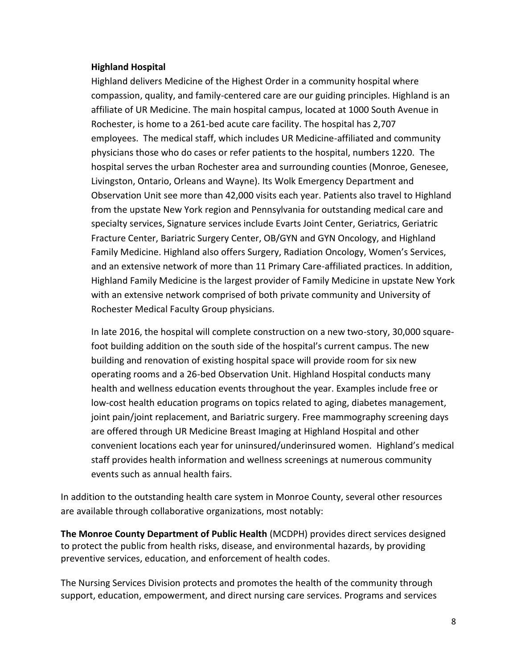#### **Highland Hospital**

Highland delivers Medicine of the Highest Order in a community hospital where compassion, quality, and family-centered care are our guiding principles. Highland is an affiliate of UR Medicine. The main hospital campus, located at 1000 South Avenue in Rochester, is home to a 261-bed acute care facility. The hospital has 2,707 employees. The medical staff, which includes UR Medicine-affiliated and community physicians those who do cases or refer patients to the hospital, numbers 1220. The hospital serves the urban Rochester area and surrounding counties (Monroe, Genesee, Livingston, Ontario, Orleans and Wayne). Its Wolk Emergency Department and Observation Unit see more than 42,000 visits each year. Patients also travel to Highland from the upstate New York region and Pennsylvania for outstanding medical care and specialty services, Signature services include Evarts Joint Center, Geriatrics, Geriatric Fracture Center, Bariatric Surgery Center, OB/GYN and GYN Oncology, and Highland Family Medicine. Highland also offers Surgery, Radiation Oncology, Women's Services, and an extensive network of more than 11 Primary Care-affiliated practices. In addition, Highland Family Medicine is the largest provider of Family Medicine in upstate New York with an extensive network comprised of both private community and University of Rochester Medical Faculty Group physicians.

In late 2016, the hospital will complete construction on a new two-story, 30,000 squarefoot building addition on the south side of the hospital's current campus. The new building and renovation of existing hospital space will provide room for six new operating rooms and a 26-bed Observation Unit. Highland Hospital conducts many health and wellness education events throughout the year. Examples include free or low-cost health education programs on topics related to aging, diabetes management, joint pain/joint replacement, and Bariatric surgery. Free mammography screening days are offered through UR Medicine Breast Imaging at Highland Hospital and other convenient locations each year for uninsured/underinsured women. Highland's medical staff provides health information and wellness screenings at numerous community events such as annual health fairs.

In addition to the outstanding health care system in Monroe County, several other resources are available through collaborative organizations, most notably:

**The Monroe County Department of Public Health** (MCDPH) provides direct services designed to protect the public from health risks, disease, and environmental hazards, by providing preventive services, education, and enforcement of health codes.

The Nursing Services Division protects and promotes the health of the community through support, education, empowerment, and direct nursing care services. Programs and services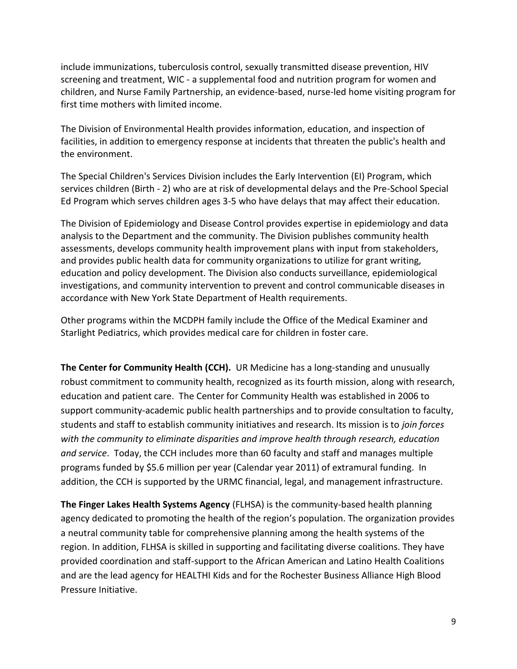include immunizations, tuberculosis control, sexually transmitted disease prevention, HIV screening and treatment, WIC - a supplemental food and nutrition program for women and children, and Nurse Family Partnership, an evidence-based, nurse-led home visiting program for first time mothers with limited income.

The Division of Environmental Health provides information, education, and inspection of facilities, in addition to emergency response at incidents that threaten the public's health and the environment.

The Special Children's Services Division includes the Early Intervention (EI) Program, which services children (Birth - 2) who are at risk of developmental delays and the Pre-School Special Ed Program which serves children ages 3-5 who have delays that may affect their education.

The Division of Epidemiology and Disease Control provides expertise in epidemiology and data analysis to the Department and the community. The Division publishes community health assessments, develops community health improvement plans with input from stakeholders, and provides public health data for community organizations to utilize for grant writing, education and policy development. The Division also conducts surveillance, epidemiological investigations, and community intervention to prevent and control communicable diseases in accordance with New York State Department of Health requirements.

Other programs within the MCDPH family include the Office of the Medical Examiner and Starlight Pediatrics, which provides medical care for children in foster care.

**The Center for Community Health (CCH).** UR Medicine has a long-standing and unusually robust commitment to community health, recognized as its fourth mission, along with research, education and patient care. The Center for Community Health was established in 2006 to support community-academic public health partnerships and to provide consultation to faculty, students and staff to establish community initiatives and research. Its mission is to *join forces with the community to eliminate disparities and improve health through research, education and service*. Today, the CCH includes more than 60 faculty and staff and manages multiple programs funded by \$5.6 million per year (Calendar year 2011) of extramural funding. In addition, the CCH is supported by the URMC financial, legal, and management infrastructure.

**The Finger Lakes Health Systems Agency** (FLHSA) is the community-based health planning agency dedicated to promoting the health of the region's population. The organization provides a neutral community table for comprehensive planning among the health systems of the region. In addition, FLHSA is skilled in supporting and facilitating diverse coalitions. They have provided coordination and staff-support to the African American and Latino Health Coalitions and are the lead agency for HEALTHI Kids and for the Rochester Business Alliance High Blood Pressure Initiative.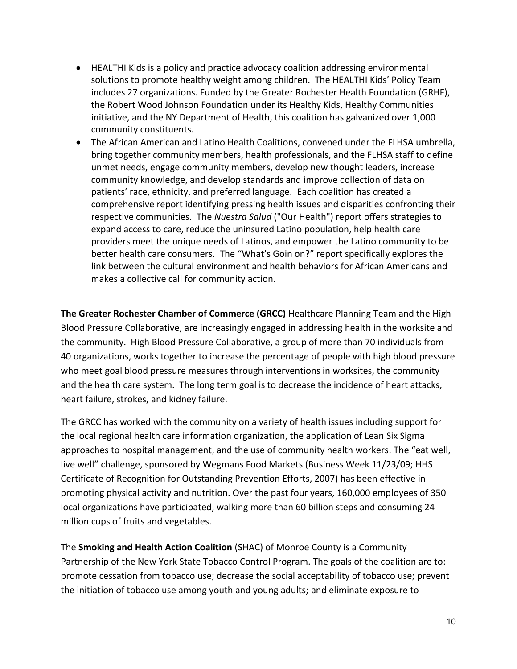- HEALTHI Kids is a policy and practice advocacy coalition addressing environmental solutions to promote healthy weight among children. The HEALTHI Kids' Policy Team includes 27 organizations. Funded by the Greater Rochester Health Foundation (GRHF), the Robert Wood Johnson Foundation under its Healthy Kids, Healthy Communities initiative, and the NY Department of Health, this coalition has galvanized over 1,000 community constituents.
- The African American and Latino Health Coalitions, convened under the FLHSA umbrella, bring together community members, health professionals, and the FLHSA staff to define unmet needs, engage community members, develop new thought leaders, increase community knowledge, and develop standards and improve collection of data on patients' race, ethnicity, and preferred language. Each coalition has created a comprehensive report identifying pressing health issues and disparities confronting their respective communities. The *Nuestra Salud* ("Our Health") report offers strategies to expand access to care, reduce the uninsured Latino population, help health care providers meet the unique needs of Latinos, and empower the Latino community to be better health care consumers. The "What's Goin on?" report specifically explores the link between the cultural environment and health behaviors for African Americans and makes a collective call for community action.

**The Greater Rochester Chamber of Commerce (GRCC)** Healthcare Planning Team and the High Blood Pressure Collaborative, are increasingly engaged in addressing health in the worksite and the community. High Blood Pressure Collaborative, a group of more than 70 individuals from 40 organizations, works together to increase the percentage of people with high blood pressure who meet goal blood pressure measures through interventions in worksites, the community and the health care system. The long term goal is to decrease the incidence of heart attacks, heart failure, strokes, and kidney failure.

The GRCC has worked with the community on a variety of health issues including support for the local regional health care information organization, the application of Lean Six Sigma approaches to hospital management, and the use of community health workers. The "eat well, live well" challenge, sponsored by Wegmans Food Markets (Business Week 11/23/09; HHS Certificate of Recognition for Outstanding Prevention Efforts, 2007) has been effective in promoting physical activity and nutrition. Over the past four years, 160,000 employees of 350 local organizations have participated, walking more than 60 billion steps and consuming 24 million cups of fruits and vegetables.

The **Smoking and Health Action Coalition** (SHAC) of Monroe County is a Community Partnership of the New York State Tobacco Control Program. The goals of the coalition are to: promote cessation from tobacco use; decrease the social acceptability of tobacco use; prevent the initiation of tobacco use among youth and young adults; and eliminate exposure to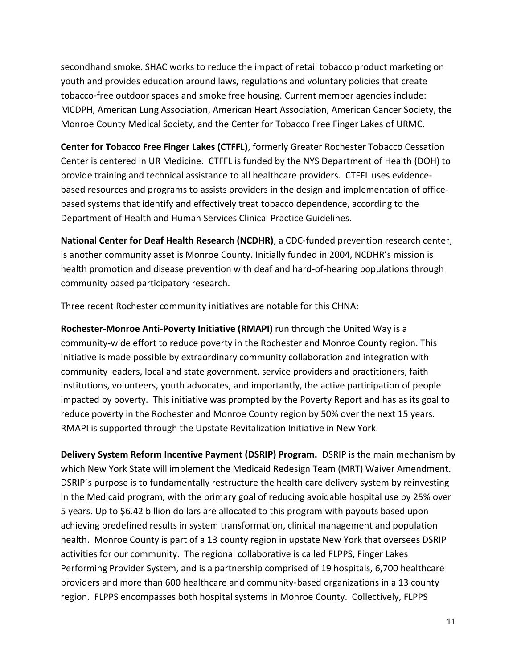secondhand smoke. SHAC works to reduce the impact of retail tobacco product marketing on youth and provides education around laws, regulations and voluntary policies that create tobacco-free outdoor spaces and smoke free housing. Current member agencies include: MCDPH, American Lung Association, American Heart Association, American Cancer Society, the Monroe County Medical Society, and the Center for Tobacco Free Finger Lakes of URMC.

**Center for Tobacco Free Finger Lakes (CTFFL)**, formerly Greater Rochester Tobacco Cessation Center is centered in UR Medicine. CTFFL is funded by the NYS Department of Health (DOH) to provide training and technical assistance to all healthcare providers. CTFFL uses evidencebased resources and programs to assists providers in the design and implementation of officebased systems that identify and effectively treat tobacco dependence, according to the Department of Health and Human Services Clinical Practice Guidelines.

**National Center for Deaf Health Research (NCDHR)**, a CDC-funded prevention research center, is another community asset is Monroe County. Initially funded in 2004, NCDHR's mission is health promotion and disease prevention with deaf and hard-of-hearing populations through community based participatory research.

Three recent Rochester community initiatives are notable for this CHNA:

**Rochester-Monroe Anti-Poverty Initiative (RMAPI)** run through the United Way is a community-wide effort to reduce poverty in the Rochester and Monroe County region. This initiative is made possible by extraordinary community collaboration and integration with community leaders, local and state government, service providers and practitioners, faith institutions, volunteers, youth advocates, and importantly, the active participation of people impacted by poverty. This initiative was prompted by the Poverty Report and has as its goal to reduce poverty in the Rochester and Monroe County region by 50% over the next 15 years. RMAPI is supported through the Upstate Revitalization Initiative in New York.

**Delivery System Reform Incentive Payment (DSRIP) Program.** DSRIP is the main mechanism by which New York State will implement the Medicaid Redesign Team (MRT) Waiver Amendment. DSRIP´s purpose is to fundamentally restructure the health care delivery system by reinvesting in the Medicaid program, with the primary goal of reducing avoidable hospital use by 25% over 5 years. Up to \$6.42 billion dollars are allocated to this program with payouts based upon achieving predefined results in system transformation, clinical management and population health. Monroe County is part of a 13 county region in upstate New York that oversees DSRIP activities for our community. The regional collaborative is called FLPPS, Finger Lakes Performing Provider System, and is a partnership comprised of 19 hospitals, 6,700 healthcare providers and more than 600 healthcare and community-based organizations in a 13 county region. FLPPS encompasses both hospital systems in Monroe County. Collectively, FLPPS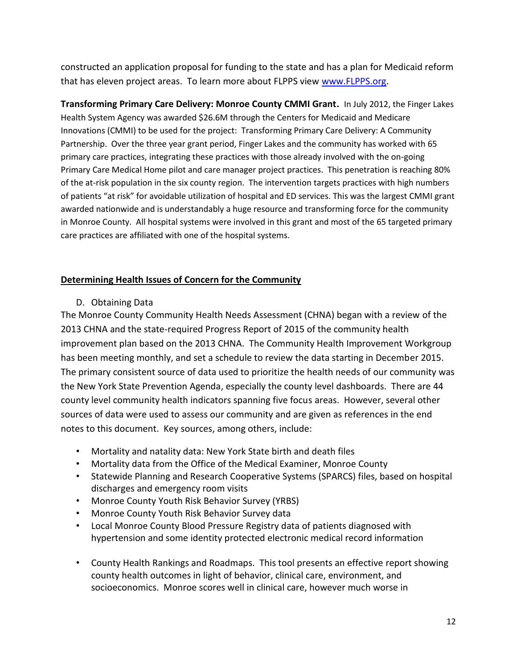constructed an application proposal for funding to the state and has a plan for Medicaid reform that has eleven project areas. To learn more about FLPPS view [www.FLPPS.org.](http://www.flpps.org/)

**Transforming Primary Care Delivery: Monroe County CMMI Grant.** In July 2012, the Finger Lakes Health System Agency was awarded \$26.6M through the Centers for Medicaid and Medicare Innovations (CMMI) to be used for the project: Transforming Primary Care Delivery: A Community Partnership. Over the three year grant period, Finger Lakes and the community has worked with 65 primary care practices, integrating these practices with those already involved with the on-going Primary Care Medical Home pilot and care manager project practices. This penetration is reaching 80% of the at-risk population in the six county region. The intervention targets practices with high numbers of patients "at risk" for avoidable utilization of hospital and ED services. This was the largest CMMI grant awarded nationwide and is understandably a huge resource and transforming force for the community in Monroe County. All hospital systems were involved in this grant and most of the 65 targeted primary care practices are affiliated with one of the hospital systems.

# **Determining Health Issues of Concern for the Community**

D. Obtaining Data

The Monroe County Community Health Needs Assessment (CHNA) began with a review of the 2013 CHNA and the state-required Progress Report of 2015 of the community health improvement plan based on the 2013 CHNA. The Community Health Improvement Workgroup has been meeting monthly, and set a schedule to review the data starting in December 2015. The primary consistent source of data used to prioritize the health needs of our community was the New York State Prevention Agenda, especially the county level dashboards. There are 44 county level community health indicators spanning five focus areas. However, several other sources of data were used to assess our community and are given as references in the end notes to this document. Key sources, among others, include:

- Mortality and natality data: New York State birth and death files
- Mortality data from the Office of the Medical Examiner, Monroe County
- Statewide Planning and Research Cooperative Systems (SPARCS) files, based on hospital discharges and emergency room visits
- Monroe County Youth Risk Behavior Survey (YRBS)
- Monroe County Youth Risk Behavior Survey data
- Local Monroe County Blood Pressure Registry data of patients diagnosed with hypertension and some identity protected electronic medical record information
- County Health Rankings and Roadmaps. This tool presents an effective report showing county health outcomes in light of behavior, clinical care, environment, and socioeconomics. Monroe scores well in clinical care, however much worse in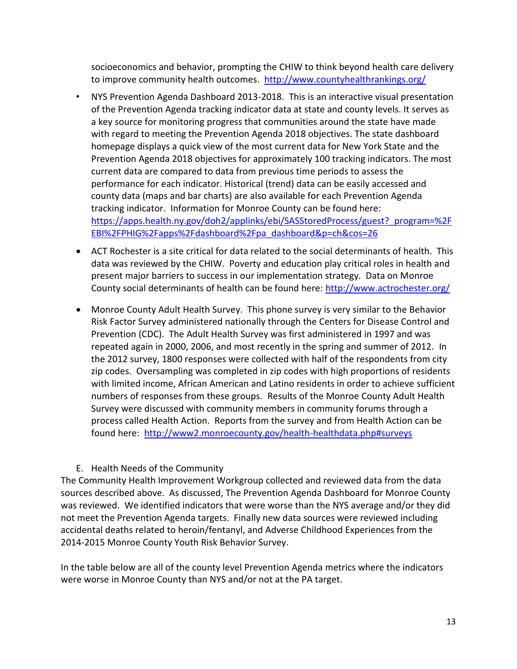socioeconomics and behavior, prompting the CHIW to think beyond health care delivery to improve community health outcomes. <http://www.countyhealthrankings.org/>

- NYS Prevention Agenda Dashboard 2013-2018. This is an interactive visual presentation of the Prevention Agenda tracking indicator data at state and county levels. It serves as a key source for monitoring progress that communities around the state have made with regard to meeting the Prevention Agenda 2018 objectives. The state dashboard homepage displays a quick view of the most current data for New York State and the Prevention Agenda 2018 objectives for approximately 100 tracking indicators. The most current data are compared to data from previous time periods to assess the performance for each indicator. Historical (trend) data can be easily accessed and county data (maps and bar charts) are also available for each Prevention Agenda tracking indicator. Information for Monroe County can be found here: [https://apps.health.ny.gov/doh2/applinks/ebi/SASStoredProcess/guest?\\_program=%2F](https://apps.health.ny.gov/doh2/applinks/ebi/SASStoredProcess/guest?_program=%2FEBI%2FPHIG%2Fapps%2Fdashboard%2Fpa_dashboard&p=ch&cos=26) [EBI%2FPHIG%2Fapps%2Fdashboard%2Fpa\\_dashboard&p=ch&cos=26](https://apps.health.ny.gov/doh2/applinks/ebi/SASStoredProcess/guest?_program=%2FEBI%2FPHIG%2Fapps%2Fdashboard%2Fpa_dashboard&p=ch&cos=26)
- ACT Rochester is a site critical for data related to the social determinants of health. This data was reviewed by the CHIW. Poverty and education play critical roles in health and present major barriers to success in our implementation strategy. Data on Monroe County social determinants of health can be found here:<http://www.actrochester.org/>
- Monroe County Adult Health Survey. This phone survey is very similar to the Behavior Risk Factor Survey administered nationally through the Centers for Disease Control and Prevention (CDC). The Adult Health Survey was first administered in 1997 and was repeated again in 2000, 2006, and most recently in the spring and summer of 2012. In the 2012 survey, 1800 responses were collected with half of the respondents from city zip codes. Oversampling was completed in zip codes with high proportions of residents with limited income, African American and Latino residents in order to achieve sufficient numbers of responses from these groups. Results of the Monroe County Adult Health Survey were discussed with community members in community forums through a process called Health Action. Reports from the survey and from Health Action can be found here:<http://www2.monroecounty.gov/health-healthdata.php#surveys>

# E. Health Needs of the Community

The Community Health Improvement Workgroup collected and reviewed data from the data sources described above. As discussed, The Prevention Agenda Dashboard for Monroe County was reviewed. We identified indicators that were worse than the NYS average and/or they did not meet the Prevention Agenda targets. Finally new data sources were reviewed including accidental deaths related to heroin/fentanyl, and Adverse Childhood Experiences from the 2014-2015 Monroe County Youth Risk Behavior Survey.

In the table below are all of the county level Prevention Agenda metrics where the indicators were worse in Monroe County than NYS and/or not at the PA target.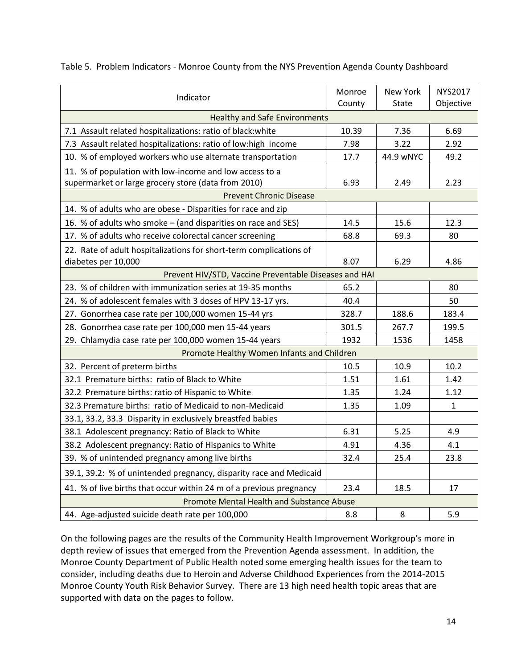| Indicator                                                           | Monroe<br>County | New York<br>State | <b>NYS2017</b><br>Objective |
|---------------------------------------------------------------------|------------------|-------------------|-----------------------------|
| <b>Healthy and Safe Environments</b>                                |                  |                   |                             |
| 7.1 Assault related hospitalizations: ratio of black: white         | 10.39            | 7.36              | 6.69                        |
| 7.3 Assault related hospitalizations: ratio of low:high income      | 7.98             | 3.22              | 2.92                        |
| 10. % of employed workers who use alternate transportation          | 17.7             | 44.9 wNYC         | 49.2                        |
| 11. % of population with low-income and low access to a             |                  |                   |                             |
| supermarket or large grocery store (data from 2010)                 | 6.93             | 2.49              | 2.23                        |
| <b>Prevent Chronic Disease</b>                                      |                  |                   |                             |
| 14. % of adults who are obese - Disparities for race and zip        |                  |                   |                             |
| 16. % of adults who smoke - (and disparities on race and SES)       | 14.5             | 15.6              | 12.3                        |
| 17. % of adults who receive colorectal cancer screening             | 68.8             | 69.3              | 80                          |
| 22. Rate of adult hospitalizations for short-term complications of  |                  |                   |                             |
| diabetes per 10,000                                                 | 8.07             | 6.29              | 4.86                        |
| Prevent HIV/STD, Vaccine Preventable Diseases and HAI               |                  |                   |                             |
| 23. % of children with immunization series at 19-35 months          | 65.2             |                   | 80                          |
| 24. % of adolescent females with 3 doses of HPV 13-17 yrs.          | 40.4             |                   | 50                          |
| 27. Gonorrhea case rate per 100,000 women 15-44 yrs                 | 328.7            | 188.6             | 183.4                       |
| 28. Gonorrhea case rate per 100,000 men 15-44 years                 | 301.5            | 267.7             | 199.5                       |
| 29. Chlamydia case rate per 100,000 women 15-44 years               | 1932             | 1536              | 1458                        |
| Promote Healthy Women Infants and Children                          |                  |                   |                             |
| 32. Percent of preterm births                                       | 10.5             | 10.9              | 10.2                        |
| 32.1 Premature births: ratio of Black to White                      | 1.51             | 1.61              | 1.42                        |
| 32.2 Premature births: ratio of Hispanic to White                   | 1.35             | 1.24              | 1.12                        |
| 32.3 Premature births: ratio of Medicaid to non-Medicaid            | 1.35             | 1.09              | 1                           |
| 33.1, 33.2, 33.3 Disparity in exclusively breastfed babies          |                  |                   |                             |
| 38.1 Adolescent pregnancy: Ratio of Black to White                  | 6.31             | 5.25              | 4.9                         |
| 38.2 Adolescent pregnancy: Ratio of Hispanics to White              | 4.91             | 4.36              | 4.1                         |
| 39. % of unintended pregnancy among live births                     | 32.4             | 25.4              | 23.8                        |
| 39.1, 39.2: % of unintended pregnancy, disparity race and Medicaid  |                  |                   |                             |
| 41. % of live births that occur within 24 m of a previous pregnancy | 23.4             | 18.5              | 17                          |
| Promote Mental Health and Substance Abuse                           |                  |                   |                             |
| 44. Age-adjusted suicide death rate per 100,000                     | 8.8              | 8                 | 5.9                         |

Table 5. Problem Indicators - Monroe County from the NYS Prevention Agenda County Dashboard

On the following pages are the results of the Community Health Improvement Workgroup's more in depth review of issues that emerged from the Prevention Agenda assessment. In addition, the Monroe County Department of Public Health noted some emerging health issues for the team to consider, including deaths due to Heroin and Adverse Childhood Experiences from the 2014-2015 Monroe County Youth Risk Behavior Survey. There are 13 high need health topic areas that are supported with data on the pages to follow.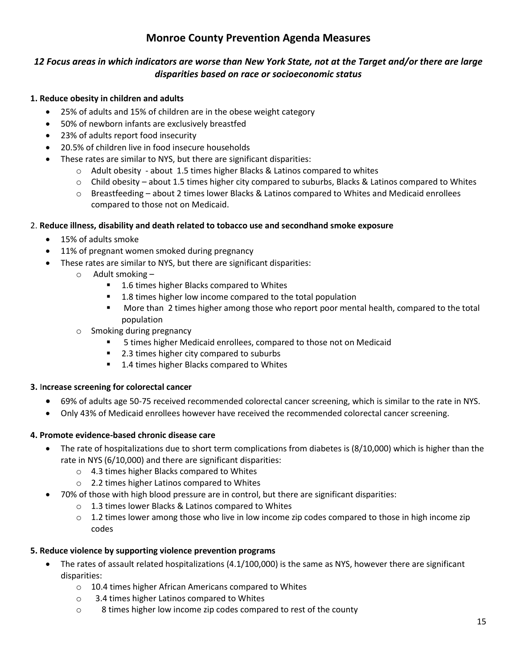# **Monroe County Prevention Agenda Measures**

# *12 Focus areas in which indicators are worse than New York State, not at the Target and/or there are large disparities based on race or socioeconomic status*

#### **1. Reduce obesity in children and adults**

- 25% of adults and 15% of children are in the obese weight category
- 50% of newborn infants are exclusively breastfed
- 23% of adults report food insecurity
- 20.5% of children live in food insecure households
- These rates are similar to NYS, but there are significant disparities:
	- $\circ$  Adult obesity about 1.5 times higher Blacks & Latinos compared to whites
	- $\circ$  Child obesity about 1.5 times higher city compared to suburbs, Blacks & Latinos compared to Whites
	- $\circ$  Breastfeeding about 2 times lower Blacks & Latinos compared to Whites and Medicaid enrollees compared to those not on Medicaid.

# 2. **Reduce illness, disability and death related to tobacco use and secondhand smoke exposure**

- 15% of adults smoke
- 11% of pregnant women smoked during pregnancy
- These rates are similar to NYS, but there are significant disparities:
	- o Adult smoking
		- 1.6 times higher Blacks compared to Whites
		- 1.8 times higher low income compared to the total population
		- More than 2 times higher among those who report poor mental health, compared to the total population
		- o Smoking during pregnancy
			- 5 times higher Medicaid enrollees, compared to those not on Medicaid
			- 2.3 times higher city compared to suburbs
			- 1.4 times higher Blacks compared to Whites

# **3.** I**ncrease screening for colorectal cancer**

- 69% of adults age 50-75 received recommended colorectal cancer screening, which is similar to the rate in NYS.
- Only 43% of Medicaid enrollees however have received the recommended colorectal cancer screening.

#### **4. Promote evidence-based chronic disease care**

- The rate of hospitalizations due to short term complications from diabetes is (8/10,000) which is higher than the rate in NYS (6/10,000) and there are significant disparities:
	- o 4.3 times higher Blacks compared to Whites
	- o 2.2 times higher Latinos compared to Whites
- 70% of those with high blood pressure are in control, but there are significant disparities:
	- o 1.3 times lower Blacks & Latinos compared to Whites
	- $\circ$  1.2 times lower among those who live in low income zip codes compared to those in high income zip codes

# **5. Reduce violence by supporting violence prevention programs**

- The rates of assault related hospitalizations (4.1/100,000) is the same as NYS, however there are significant disparities:
	- o 10.4 times higher African Americans compared to Whites
	- o 3.4 times higher Latinos compared to Whites
	- o 8 times higher low income zip codes compared to rest of the county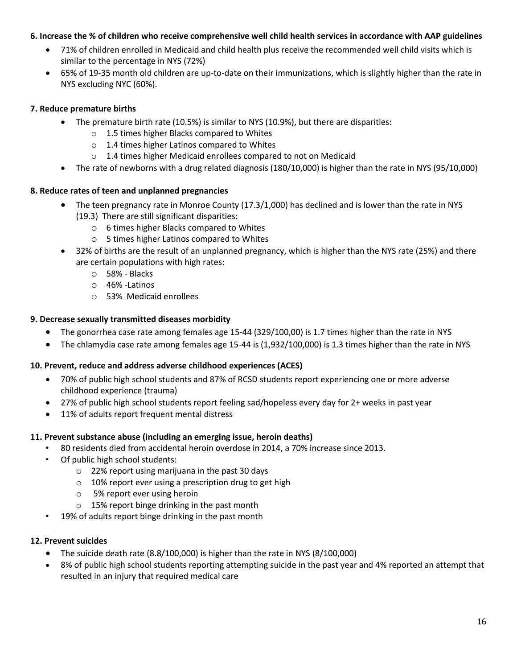#### **6. Increase the % of children who receive comprehensive well child health services in accordance with AAP guidelines**

- 71% of children enrolled in Medicaid and child health plus receive the recommended well child visits which is similar to the percentage in NYS (72%)
- 65% of 19-35 month old children are up-to-date on their immunizations, which is slightly higher than the rate in NYS excluding NYC (60%).

#### **7. Reduce premature births**

- The premature birth rate (10.5%) is similar to NYS (10.9%), but there are disparities:
	- o 1.5 times higher Blacks compared to Whites
	- o 1.4 times higher Latinos compared to Whites
	- o 1.4 times higher Medicaid enrollees compared to not on Medicaid
- The rate of newborns with a drug related diagnosis (180/10,000) is higher than the rate in NYS (95/10,000)

#### **8. Reduce rates of teen and unplanned pregnancies**

- The teen pregnancy rate in Monroe County (17.3/1,000) has declined and is lower than the rate in NYS (19.3) There are still significant disparities:
	- o 6 times higher Blacks compared to Whites
	- o 5 times higher Latinos compared to Whites
- 32% of births are the result of an unplanned pregnancy, which is higher than the NYS rate (25%) and there are certain populations with high rates:
	- o 58% Blacks
	- o 46% -Latinos
	- o 53% Medicaid enrollees

#### **9. Decrease sexually transmitted diseases morbidity**

- The gonorrhea case rate among females age 15-44 (329/100,00) is 1.7 times higher than the rate in NYS
- The chlamydia case rate among females age 15-44 is (1,932/100,000) is 1.3 times higher than the rate in NYS

#### **10. Prevent, reduce and address adverse childhood experiences (ACES)**

- 70% of public high school students and 87% of RCSD students report experiencing one or more adverse childhood experience (trauma)
- 27% of public high school students report feeling sad/hopeless every day for 2+ weeks in past year
- 11% of adults report frequent mental distress

# **11. Prevent substance abuse (including an emerging issue, heroin deaths)**

- 80 residents died from accidental heroin overdose in 2014, a 70% increase since 2013.
- Of public high school students:
	- o 22% report using marijuana in the past 30 days
	- o 10% report ever using a prescription drug to get high
	- o 5% report ever using heroin
	- o 15% report binge drinking in the past month
- 19% of adults report binge drinking in the past month

#### **12. Prevent suicides**

- The suicide death rate (8.8/100,000) is higher than the rate in NYS (8/100,000)
- 8% of public high school students reporting attempting suicide in the past year and 4% reported an attempt that resulted in an injury that required medical care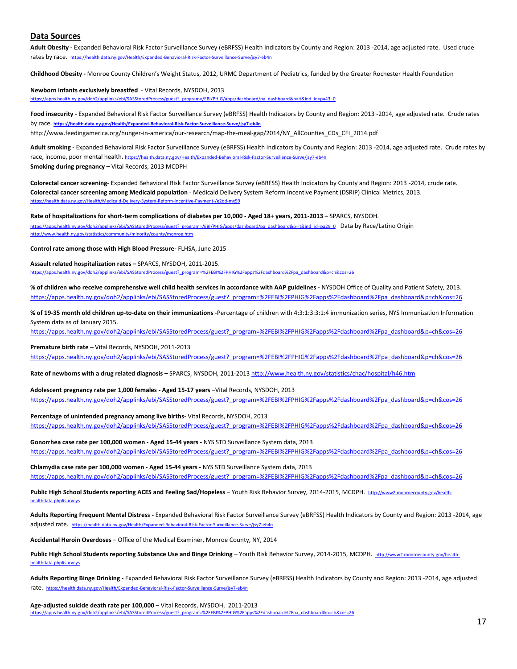#### **Data Sources**

**Adult Obesity -** Expanded Behavioral Risk Factor Surveillance Survey (eBRFSS) Health Indicators by County and Region: 2013 -2014, age adjusted rate. Used crude rates by race. <https://health.data.ny.gov/Health/Expanded-Behavioral-Risk-Factor-Surveillance-Surve/jsy7-eb4n>

**Childhood Obesity -** Monroe County Children's Weight Status, 2012, URMC Department of Pediatrics, funded by the Greater Rochester Health Foundation

**Newborn infants exclusively breastfed** - Vital Records, NYSDOH, 2013 [https://apps.health.ny.gov/doh2/applinks/ebi/SASStoredProcess/guest?\\_program=/EBI/PHIG/apps/dashboard/pa\\_dashboard&p=it&ind\\_id=pa43\\_0](https://apps.health.ny.gov/doh2/applinks/ebi/SASStoredProcess/guest?_program=/EBI/PHIG/apps/dashboard/pa_dashboard&p=it&ind_id=pa43_0)

**Food insecurity** - Expanded Behavioral Risk Factor Surveillance Survey (eBRFSS) Health Indicators by County and Region: 2013 -2014, age adjusted rate. Crude rates by race. **<https://health.data.ny.gov/Health/Expanded-Behavioral-Risk-Factor-Surveillance-Surve/jsy7-eb4n>** http://www.feedingamerica.org/hunger-in-america/our-research/map-the-meal-gap/2014/NY\_AllCounties\_CDs\_CFI\_2014.pdf

**Adult smoking -** Expanded Behavioral Risk Factor Surveillance Survey (eBRFSS) Health Indicators by County and Region: 2013 -2014, age adjusted rate. Crude rates by

race, income, poor mental health. <https://health.data.ny.gov/Health/Expanded-Behavioral-Risk-Factor-Surveillance-Surve/jsy7-eb4n> **Smoking during pregnancy –** Vital Records, 2013 MCDPH

**Colorectal cancer screening**- Expanded Behavioral Risk Factor Surveillance Survey (eBRFSS) Health Indicators by County and Region: 2013 -2014, crude rate. **Colorectal cancer screening among Medicaid population** - Medicaid Delivery System Reform Incentive Payment (DSRIP) Clinical Metrics, 2013. <https://health.data.ny.gov/Health/Medicaid-Delivery-System-Reform-Incentive-Payment-/e2qd-mx59>

**Rate of hospitalizations for short-term complications of diabetes per 10,000 - Aged 18+ years, 2011-2013 –** SPARCS, NYSDOH.

[https://apps.health.ny.gov/doh2/applinks/ebi/SASStoredProcess/guest?\\_program=/EBI/PHIG/apps/dashboard/pa\\_dashboard&p=it&ind\\_id=pa29\\_0](https://apps.health.ny.gov/doh2/applinks/ebi/SASStoredProcess/guest?_program=/EBI/PHIG/apps/dashboard/pa_dashboard&p=it&ind_id=pa29_0) Data by Race/Latino Origin <http://www.health.ny.gov/statistics/community/minority/county/monroe.htm>

**Control rate among those with High Blood Pressure-** FLHSA, June 2015

**Assault related hospitalization rates –** SPARCS, NYSDOH, 2011-2015. ps.health.ny.gov/doh2/applinks/ebi/SASStoredProcess/guest?\_program=%2FEBI%2FPHIG%2Fapps%2Fdashboard%2Fpa\_dashboard&p=ch&cos=26

**% of children who receive comprehensive well child health services in accordance with AAP guidelines -** NYSDOH Office of Quality and Patient Safety, 2013. [https://apps.health.ny.gov/doh2/applinks/ebi/SASStoredProcess/guest?\\_program=%2FEBI%2FPHIG%2Fapps%2Fdashboard%2Fpa\\_dashboard&p=ch&cos=26](https://apps.health.ny.gov/doh2/applinks/ebi/SASStoredProcess/guest?_program=%2FEBI%2FPHIG%2Fapps%2Fdashboard%2Fpa_dashboard&p=ch&cos=26)

**% of 19-35 month old children up-to-date on their immunizations** -Percentage of children with 4:3:1:3:3:1:4 immunization series, NYS Immunization Information System data as of January 2015.

[https://apps.health.ny.gov/doh2/applinks/ebi/SASStoredProcess/guest?\\_program=%2FEBI%2FPHIG%2Fapps%2Fdashboard%2Fpa\\_dashboard&p=ch&cos=26](https://apps.health.ny.gov/doh2/applinks/ebi/SASStoredProcess/guest?_program=%2FEBI%2FPHIG%2Fapps%2Fdashboard%2Fpa_dashboard&p=ch&cos=26)

**Premature birth rate –** Vital Records, NYSDOH, 2011-2013 [https://apps.health.ny.gov/doh2/applinks/ebi/SASStoredProcess/guest?\\_program=%2FEBI%2FPHIG%2Fapps%2Fdashboard%2Fpa\\_dashboard&p=ch&cos=26](https://apps.health.ny.gov/doh2/applinks/ebi/SASStoredProcess/guest?_program=%2FEBI%2FPHIG%2Fapps%2Fdashboard%2Fpa_dashboard&p=ch&cos=26)

**Rate of newborns with a drug related diagnosis –** SPARCS, NYSDOH, 2011-2013 <http://www.health.ny.gov/statistics/chac/hospital/h46.htm>

**Adolescent pregnancy rate per 1,000 females - Aged 15-17 years –**Vital Records, NYSDOH, 2013

[https://apps.health.ny.gov/doh2/applinks/ebi/SASStoredProcess/guest?\\_program=%2FEBI%2FPHIG%2Fapps%2Fdashboard%2Fpa\\_dashboard&p=ch&cos=26](https://apps.health.ny.gov/doh2/applinks/ebi/SASStoredProcess/guest?_program=%2FEBI%2FPHIG%2Fapps%2Fdashboard%2Fpa_dashboard&p=ch&cos=26)

**Percentage of unintended pregnancy among live births-** Vital Records, NYSDOH, 2013 [https://apps.health.ny.gov/doh2/applinks/ebi/SASStoredProcess/guest?\\_program=%2FEBI%2FPHIG%2Fapps%2Fdashboard%2Fpa\\_dashboard&p=ch&cos=26](https://apps.health.ny.gov/doh2/applinks/ebi/SASStoredProcess/guest?_program=%2FEBI%2FPHIG%2Fapps%2Fdashboard%2Fpa_dashboard&p=ch&cos=26)

**Gonorrhea case rate per 100,000 women - Aged 15-44 years -** NYS STD Surveillance System data, 2013 [https://apps.health.ny.gov/doh2/applinks/ebi/SASStoredProcess/guest?\\_program=%2FEBI%2FPHIG%2Fapps%2Fdashboard%2Fpa\\_dashboard&p=ch&cos=26](https://apps.health.ny.gov/doh2/applinks/ebi/SASStoredProcess/guest?_program=%2FEBI%2FPHIG%2Fapps%2Fdashboard%2Fpa_dashboard&p=ch&cos=26)

**Chlamydia case rate per 100,000 women - Aged 15-44 years -** NYS STD Surveillance System data, 2013 [https://apps.health.ny.gov/doh2/applinks/ebi/SASStoredProcess/guest?\\_program=%2FEBI%2FPHIG%2Fapps%2Fdashboard%2Fpa\\_dashboard&p=ch&cos=26](https://apps.health.ny.gov/doh2/applinks/ebi/SASStoredProcess/guest?_program=%2FEBI%2FPHIG%2Fapps%2Fdashboard%2Fpa_dashboard&p=ch&cos=26)

**Public High School Students reporting ACES and Feeling Sad/Hopeless** – Youth Risk Behavior Survey, 2014-2015, MCDPH. [http://www2.monroecounty.gov/health](http://www2.monroecounty.gov/health-healthdata.php#surveys)healthdata.php#sur

Adults Reporting Frequent Mental Distress - Expanded Behavioral Risk Factor Surveillance Survey (eBRFSS) Health Indicators by County and Region: 2013 -2014, age adjusted rate. <https://health.data.ny.gov/Health/Expanded-Behavioral-Risk-Factor-Surveillance-Surve/jsy7-eb4n>

**Accidental Heroin Overdoses** – Office of the Medical Examiner, Monroe County, NY, 2014

Public High School Students reporting Substance Use and Binge Drinking - Youth Risk Behavior Survey, 2014-2015, MCDPH. [http://www2.monroecounty.gov/health](http://www2.monroecounty.gov/health-healthdata.php#surveys)[healthdata.php#surveys](http://www2.monroecounty.gov/health-healthdata.php#surveys)

**Adults Reporting Binge Drinking -** Expanded Behavioral Risk Factor Surveillance Survey (eBRFSS) Health Indicators by County and Region: 2013 -2014, age adjusted rate. <https://health.data.ny.gov/Health/Expanded-Behavioral-Risk-Factor-Surveillance-Surve/jsy7-eb4n>

**Age-adjusted suicide death rate per 100,000** – Vital Records, NYSDOH, 2011-2013 [https://apps.health.ny.gov/doh2/applinks/ebi/SASStoredProcess/guest?\\_program=%2FEBI%2FPHIG%2Fapps%2Fdashboard%2Fpa\\_dashboard&p=ch&cos=26](https://apps.health.ny.gov/doh2/applinks/ebi/SASStoredProcess/guest?_program=%2FEBI%2FPHIG%2Fapps%2Fdashboard%2Fpa_dashboard&p=ch&cos=26)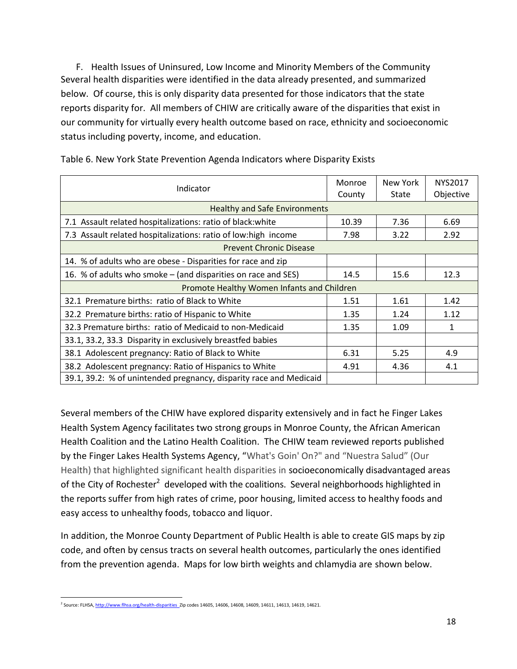F. Health Issues of Uninsured, Low Income and Minority Members of the Community Several health disparities were identified in the data already presented, and summarized below. Of course, this is only disparity data presented for those indicators that the state reports disparity for. All members of CHIW are critically aware of the disparities that exist in our community for virtually every health outcome based on race, ethnicity and socioeconomic status including poverty, income, and education.

| Indicator                                                          | Monroe<br>County | New York<br>State | NYS2017<br>Objective |
|--------------------------------------------------------------------|------------------|-------------------|----------------------|
| <b>Healthy and Safe Environments</b>                               |                  |                   |                      |
| 7.1 Assault related hospitalizations: ratio of black: white        | 10.39            | 7.36              | 6.69                 |
| 7.3 Assault related hospitalizations: ratio of low:high income     | 7.98             | 3.22              | 2.92                 |
| <b>Prevent Chronic Disease</b>                                     |                  |                   |                      |
| 14. % of adults who are obese - Disparities for race and zip       |                  |                   |                      |
| 16. % of adults who smoke – (and disparities on race and SES)      | 14.5             | 15.6              | 12.3                 |
| Promote Healthy Women Infants and Children                         |                  |                   |                      |
| 32.1 Premature births: ratio of Black to White                     | 1.51             | 1.61              | 1.42                 |
| 32.2 Premature births: ratio of Hispanic to White                  | 1.35             | 1.24              | 1.12                 |
| 32.3 Premature births: ratio of Medicaid to non-Medicaid           | 1.35             | 1.09              | 1                    |
| 33.1, 33.2, 33.3 Disparity in exclusively breastfed babies         |                  |                   |                      |
| 38.1 Adolescent pregnancy: Ratio of Black to White                 | 6.31             | 5.25              | 4.9                  |
| 38.2 Adolescent pregnancy: Ratio of Hispanics to White             | 4.91             | 4.36              | 4.1                  |
| 39.1, 39.2: % of unintended pregnancy, disparity race and Medicaid |                  |                   |                      |

Table 6. New York State Prevention Agenda Indicators where Disparity Exists

Several members of the CHIW have explored disparity extensively and in fact he Finger Lakes Health System Agency facilitates two strong groups in Monroe County, the African American Health Coalition and the Latino Health Coalition. The CHIW team reviewed reports published by the Finger Lakes Health Systems Agency, "What's Goin' On?" and "Nuestra Salud" (Our Health) that highlighted significant health disparities in socioeconomically disadvantaged areas of the City of Rochester<sup>2</sup> developed with the coalitions. Several neighborhoods highlighted in the reports suffer from high rates of crime, poor housing, limited access to healthy foods and easy access to unhealthy foods, tobacco and liquor.

In addition, the Monroe County Department of Public Health is able to create GIS maps by zip code, and often by census tracts on several health outcomes, particularly the ones identified from the prevention agenda. Maps for low birth weights and chlamydia are shown below.

 $\overline{\phantom{a}}$ <sup>2</sup> Source: FLHSA, <u>http://www.flhsa.org/health-disparities\_</u>Zip codes 14605, 14606, 14608, 14609, 14611, 14613, 14619, 14621.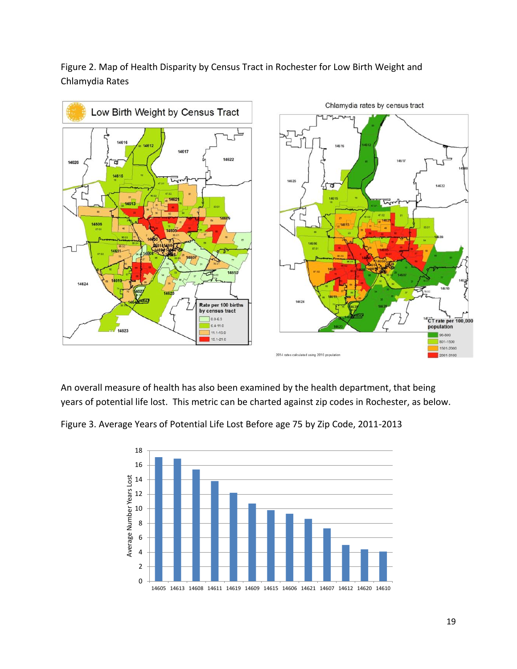Figure 2. Map of Health Disparity by Census Tract in Rochester for Low Birth Weight and Chlamydia Rates



An overall measure of health has also been examined by the health department, that being years of potential life lost. This metric can be charted against zip codes in Rochester, as below.



Figure 3. Average Years of Potential Life Lost Before age 75 by Zip Code, 2011-2013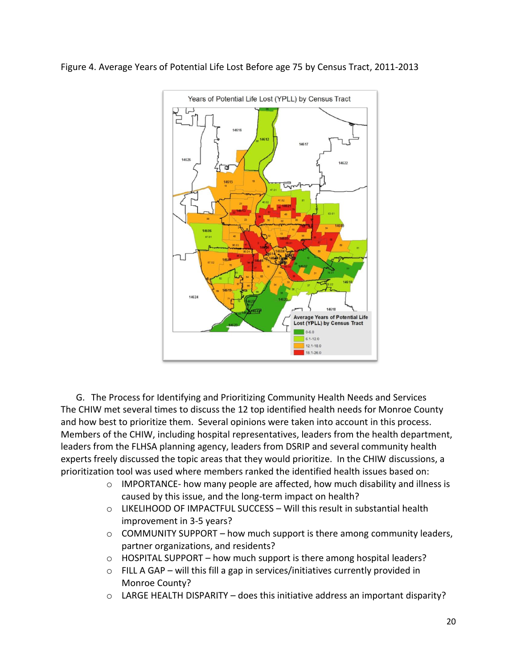



G. The Process for Identifying and Prioritizing Community Health Needs and Services The CHIW met several times to discuss the 12 top identified health needs for Monroe County and how best to prioritize them. Several opinions were taken into account in this process. Members of the CHIW, including hospital representatives, leaders from the health department, leaders from the FLHSA planning agency, leaders from DSRIP and several community health experts freely discussed the topic areas that they would prioritize. In the CHIW discussions, a prioritization tool was used where members ranked the identified health issues based on:

- $\circ$  IMPORTANCE- how many people are affected, how much disability and illness is caused by this issue, and the long-term impact on health?
- o LIKELIHOOD OF IMPACTFUL SUCCESS Will this result in substantial health improvement in 3-5 years?
- $\circ$  COMMUNITY SUPPORT how much support is there among community leaders, partner organizations, and residents?
- $\circ$  HOSPITAL SUPPORT how much support is there among hospital leaders?
- o FILL A GAP will this fill a gap in services/initiatives currently provided in Monroe County?
- $\circ$  LARGE HEALTH DISPARITY does this initiative address an important disparity?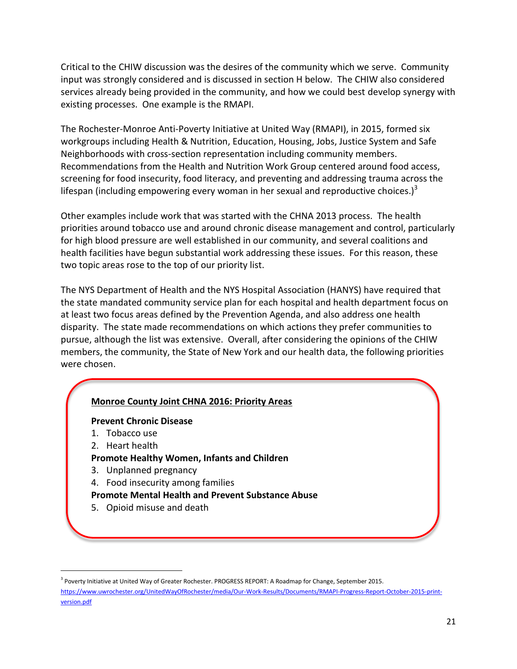Critical to the CHIW discussion was the desires of the community which we serve. Community input was strongly considered and is discussed in section H below. The CHIW also considered services already being provided in the community, and how we could best develop synergy with existing processes. One example is the RMAPI.

The Rochester-Monroe Anti-Poverty Initiative at United Way (RMAPI), in 2015, formed six workgroups including Health & Nutrition, Education, Housing, Jobs, Justice System and Safe Neighborhoods with cross-section representation including community members. Recommendations from the Health and Nutrition Work Group centered around food access, screening for food insecurity, food literacy, and preventing and addressing trauma across the lifespan (including empowering every woman in her sexual and reproductive choices.)<sup>3</sup>

Other examples include work that was started with the CHNA 2013 process. The health priorities around tobacco use and around chronic disease management and control, particularly for high blood pressure are well established in our community, and several coalitions and health facilities have begun substantial work addressing these issues. For this reason, these two topic areas rose to the top of our priority list.

The NYS Department of Health and the NYS Hospital Association (HANYS) have required that the state mandated community service plan for each hospital and health department focus on at least two focus areas defined by the Prevention Agenda, and also address one health disparity. The state made recommendations on which actions they prefer communities to pursue, although the list was extensive. Overall, after considering the opinions of the CHIW members, the community, the State of New York and our health data, the following priorities were chosen.

# **Monroe County Joint CHNA 2016: Priority Areas**

#### **Prevent Chronic Disease**

- 1. Tobacco use
- 2. Heart health

 $\overline{\phantom{a}}$ 

- **Promote Healthy Women, Infants and Children**
- 3. Unplanned pregnancy
- 4. Food insecurity among families
- **Promote Mental Health and Prevent Substance Abuse**
- 5. Opioid misuse and death

<sup>&</sup>lt;sup>3</sup> Poverty Initiative at United Way of Greater Rochester. PROGRESS REPORT: A Roadmap for Change, September 2015. [https://www.uwrochester.org/UnitedWayOfRochester/media/Our-Work-Results/Documents/RMAPI-Progress-Report-October-2015-print](https://www.uwrochester.org/UnitedWayOfRochester/media/Our-Work-Results/Documents/RMAPI-Progress-Report-October-2015-print-version.pdf)[version.pdf](https://www.uwrochester.org/UnitedWayOfRochester/media/Our-Work-Results/Documents/RMAPI-Progress-Report-October-2015-print-version.pdf)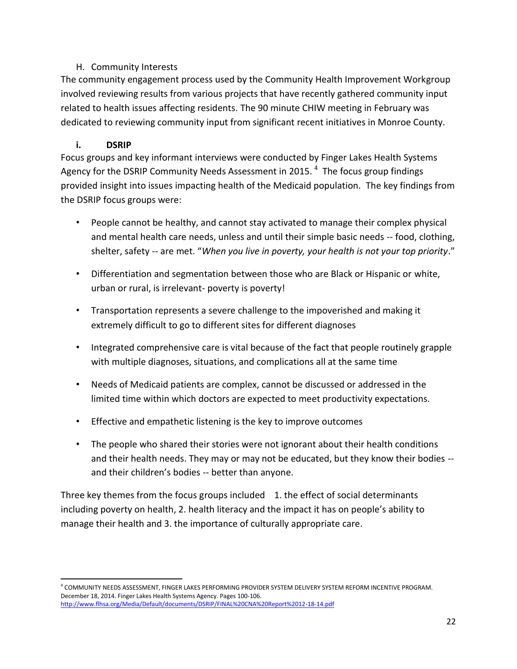# H. Community Interests

The community engagement process used by the Community Health Improvement Workgroup involved reviewing results from various projects that have recently gathered community input related to health issues affecting residents. The 90 minute CHIW meeting in February was dedicated to reviewing community input from significant recent initiatives in Monroe County.

# **i. DSRIP**

Focus groups and key informant interviews were conducted by Finger Lakes Health Systems Agency for the DSRIP Community Needs Assessment in 2015. <sup>4</sup> The focus group findings provided insight into issues impacting health of the Medicaid population. The key findings from the DSRIP focus groups were:

- People cannot be healthy, and cannot stay activated to manage their complex physical and mental health care needs, unless and until their simple basic needs -- food, clothing, shelter, safety -- are met. "*When you live in poverty, your health is not your top priority*."
- Differentiation and segmentation between those who are Black or Hispanic or white, urban or rural, is irrelevant- poverty is poverty!
- Transportation represents a severe challenge to the impoverished and making it extremely difficult to go to different sites for different diagnoses
- Integrated comprehensive care is vital because of the fact that people routinely grapple with multiple diagnoses, situations, and complications all at the same time
- Needs of Medicaid patients are complex, cannot be discussed or addressed in the limited time within which doctors are expected to meet productivity expectations.
- Effective and empathetic listening is the key to improve outcomes
- The people who shared their stories were not ignorant about their health conditions and their health needs. They may or may not be educated, but they know their bodies - and their children's bodies -- better than anyone.

Three key themes from the focus groups included 1. the effect of social determinants including poverty on health, 2. health literacy and the impact it has on people's ability to manage their health and 3. the importance of culturally appropriate care.

 $\overline{a}$ 4 COMMUNITY NEEDS ASSESSMENT, FINGER LAKES PERFORMING PROVIDER SYSTEM DELIVERY SYSTEM REFORM INCENTIVE PROGRAM. December 18, 2014. Finger Lakes Health Systems Agency. Pages 100-106. <http://www.flhsa.org/Media/Default/documents/DSRIP/FINAL%20CNA%20Report%2012-18-14.pdf>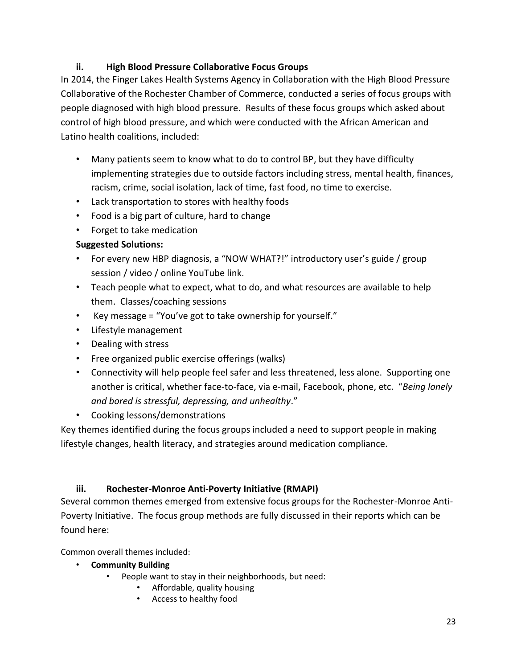# **ii. High Blood Pressure Collaborative Focus Groups**

In 2014, the Finger Lakes Health Systems Agency in Collaboration with the High Blood Pressure Collaborative of the Rochester Chamber of Commerce, conducted a series of focus groups with people diagnosed with high blood pressure. Results of these focus groups which asked about control of high blood pressure, and which were conducted with the African American and Latino health coalitions, included:

- Many patients seem to know what to do to control BP, but they have difficulty implementing strategies due to outside factors including stress, mental health, finances, racism, crime, social isolation, lack of time, fast food, no time to exercise.
- Lack transportation to stores with healthy foods
- Food is a big part of culture, hard to change
- Forget to take medication

# **Suggested Solutions:**

- For every new HBP diagnosis, a "NOW WHAT?!" introductory user's guide / group session / video / online YouTube link.
- Teach people what to expect, what to do, and what resources are available to help them. Classes/coaching sessions
- Key message = "You've got to take ownership for yourself."
- Lifestyle management
- Dealing with stress
- Free organized public exercise offerings (walks)
- Connectivity will help people feel safer and less threatened, less alone. Supporting one another is critical, whether face-to-face, via e-mail, Facebook, phone, etc. "*Being lonely and bored is stressful, depressing, and unhealthy*."
- Cooking lessons/demonstrations

Key themes identified during the focus groups included a need to support people in making lifestyle changes, health literacy, and strategies around medication compliance.

# **iii. Rochester-Monroe Anti-Poverty Initiative (RMAPI)**

Several common themes emerged from extensive focus groups for the Rochester-Monroe Anti-Poverty Initiative. The focus group methods are fully discussed in their reports which can be found here:

Common overall themes included:

- **Community Building**
	- People want to stay in their neighborhoods, but need:
		- Affordable, quality housing
		- Access to healthy food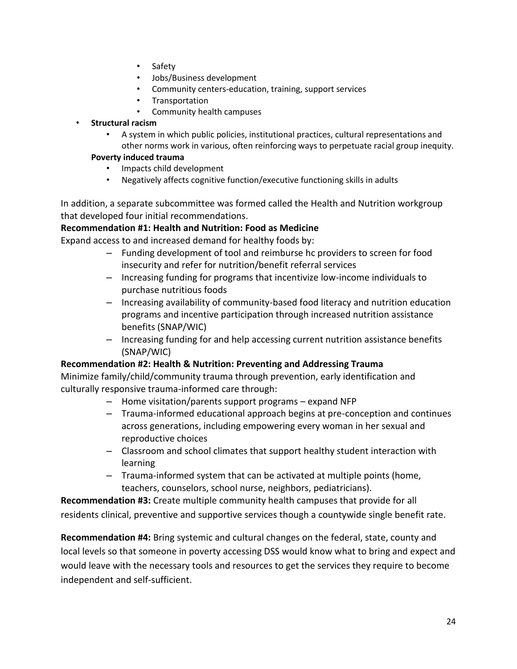- Safety
- Jobs/Business development
- Community centers-education, training, support services
- **Transportation**
- Community health campuses
- **Structural racism**
	- A system in which public policies, institutional practices, cultural representations and other norms work in various, often reinforcing ways to perpetuate racial group inequity.

#### **Poverty induced trauma**

- Impacts child development
- Negatively affects cognitive function/executive functioning skills in adults

In addition, a separate subcommittee was formed called the Health and Nutrition workgroup that developed four initial recommendations.

# **Recommendation #1: Health and Nutrition: Food as Medicine**

Expand access to and increased demand for healthy foods by:

- Funding development of tool and reimburse hc providers to screen for food insecurity and refer for nutrition/benefit referral services
- Increasing funding for programs that incentivize low-income individuals to purchase nutritious foods
- Increasing availability of community-based food literacy and nutrition education programs and incentive participation through increased nutrition assistance benefits (SNAP/WIC)
- Increasing funding for and help accessing current nutrition assistance benefits (SNAP/WIC)

# **Recommendation #2: Health & Nutrition: Preventing and Addressing Trauma**

Minimize family/child/community trauma through prevention, early identification and culturally responsive trauma-informed care through:

- Home visitation/parents support programs expand NFP
- Trauma-informed educational approach begins at pre-conception and continues across generations, including empowering every woman in her sexual and reproductive choices
- Classroom and school climates that support healthy student interaction with learning
- Trauma-informed system that can be activated at multiple points (home, teachers, counselors, school nurse, neighbors, pediatricians).

**Recommendation #3:** Create multiple community health campuses that provide for all residents clinical, preventive and supportive services though a countywide single benefit rate.

**Recommendation #4:** Bring systemic and cultural changes on the federal, state, county and local levels so that someone in poverty accessing DSS would know what to bring and expect and would leave with the necessary tools and resources to get the services they require to become independent and self-sufficient.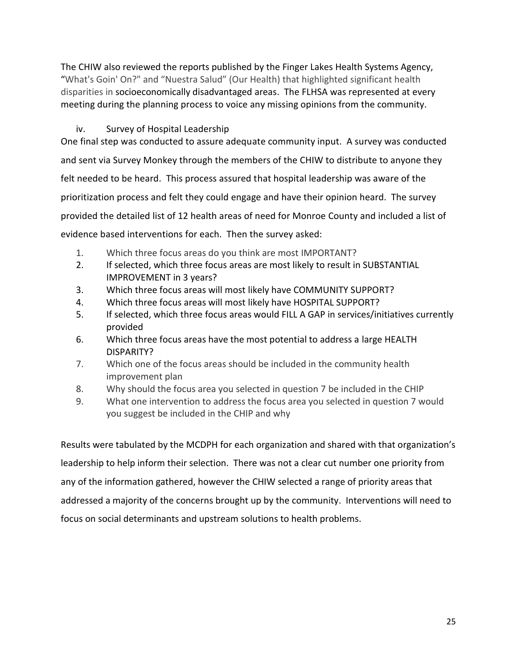The CHIW also reviewed the reports published by the Finger Lakes Health Systems Agency, "What's Goin' On?" and "Nuestra Salud" (Our Health) that highlighted significant health disparities in socioeconomically disadvantaged areas. The FLHSA was represented at every meeting during the planning process to voice any missing opinions from the community.

# iv. Survey of Hospital Leadership

One final step was conducted to assure adequate community input. A survey was conducted and sent via Survey Monkey through the members of the CHIW to distribute to anyone they felt needed to be heard. This process assured that hospital leadership was aware of the prioritization process and felt they could engage and have their opinion heard. The survey provided the detailed list of 12 health areas of need for Monroe County and included a list of evidence based interventions for each. Then the survey asked:

- 1. Which three focus areas do you think are most IMPORTANT?
- 2. If selected, which three focus areas are most likely to result in SUBSTANTIAL IMPROVEMENT in 3 years?
- 3. Which three focus areas will most likely have COMMUNITY SUPPORT?
- 4. Which three focus areas will most likely have HOSPITAL SUPPORT?
- 5. If selected, which three focus areas would FILL A GAP in services/initiatives currently provided
- 6. Which three focus areas have the most potential to address a large HEALTH DISPARITY?
- 7. Which one of the focus areas should be included in the community health improvement plan
- 8. Why should the focus area you selected in question 7 be included in the CHIP
- 9. What one intervention to address the focus area you selected in question 7 would you suggest be included in the CHIP and why

Results were tabulated by the MCDPH for each organization and shared with that organization's leadership to help inform their selection. There was not a clear cut number one priority from any of the information gathered, however the CHIW selected a range of priority areas that addressed a majority of the concerns brought up by the community. Interventions will need to focus on social determinants and upstream solutions to health problems.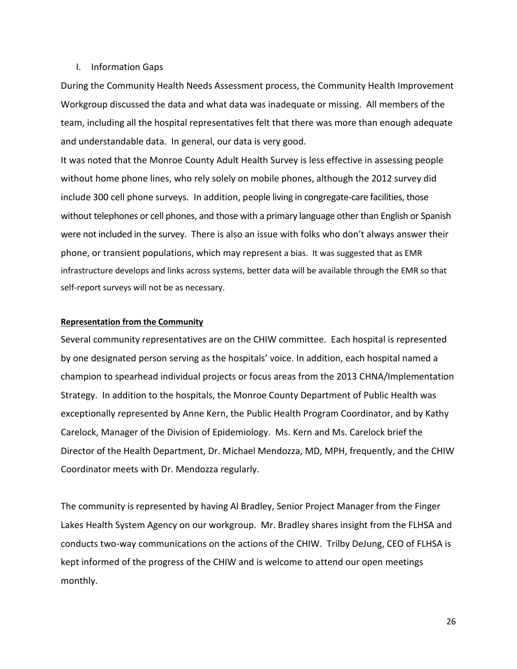#### I. Information Gaps

During the Community Health Needs Assessment process, the Community Health Improvement Workgroup discussed the data and what data was inadequate or missing. All members of the team, including all the hospital representatives felt that there was more than enough adequate and understandable data. In general, our data is very good.

It was noted that the Monroe County Adult Health Survey is less effective in assessing people without home phone lines, who rely solely on mobile phones, although the 2012 survey did include 300 cell phone surveys. In addition, people living in congregate-care facilities, those without telephones or cell phones, and those with a primary language other than English or Spanish were not included in the survey. There is also an issue with folks who don't always answer their phone, or transient populations, which may represent a bias. It was suggested that as EMR infrastructure develops and links across systems, better data will be available through the EMR so that self-report surveys will not be as necessary.

#### **Representation from the Community**

Several community representatives are on the CHIW committee. Each hospital is represented by one designated person serving as the hospitals' voice. In addition, each hospital named a champion to spearhead individual projects or focus areas from the 2013 CHNA/Implementation Strategy. In addition to the hospitals, the Monroe County Department of Public Health was exceptionally represented by Anne Kern, the Public Health Program Coordinator, and by Kathy Carelock, Manager of the Division of Epidemiology. Ms. Kern and Ms. Carelock brief the Director of the Health Department, Dr. Michael Mendozza, MD, MPH, frequently, and the CHIW Coordinator meets with Dr. Mendozza regularly.

The community is represented by having Al Bradley, Senior Project Manager from the Finger Lakes Health System Agency on our workgroup. Mr. Bradley shares insight from the FLHSA and conducts two-way communications on the actions of the CHIW. Trilby DeJung, CEO of FLHSA is kept informed of the progress of the CHIW and is welcome to attend our open meetings monthly.

26